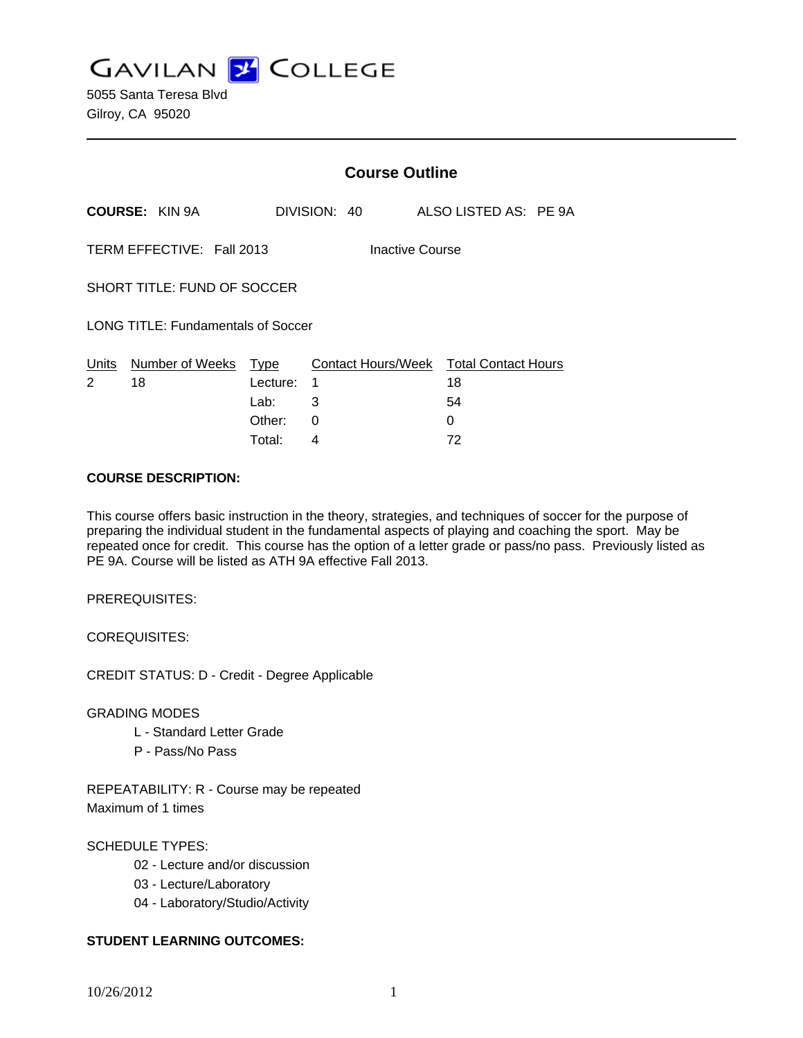**GAVILAN J COLLEGE** 

|                                              |                       | <b>Course Outline</b>    |              |  |                                                    |  |
|----------------------------------------------|-----------------------|--------------------------|--------------|--|----------------------------------------------------|--|
|                                              | <b>COURSE: KIN 9A</b> |                          | DIVISION: 40 |  | ALSO LISTED AS: PE 9A                              |  |
| TERM EFFECTIVE: Fall 2013<br>Inactive Course |                       |                          |              |  |                                                    |  |
| SHORT TITLE: FUND OF SOCCER                  |                       |                          |              |  |                                                    |  |
| LONG TITLE: Fundamentals of Soccer           |                       |                          |              |  |                                                    |  |
| Units<br>2                                   | Number of Weeks<br>18 | Type<br>Lecture:<br>Lab: | 1<br>3       |  | Contact Hours/Week Total Contact Hours<br>18<br>54 |  |
|                                              |                       | Other:                   | 0            |  | 0                                                  |  |

Total: 4 72

#### **COURSE DESCRIPTION:**

This course offers basic instruction in the theory, strategies, and techniques of soccer for the purpose of preparing the individual student in the fundamental aspects of playing and coaching the sport. May be repeated once for credit. This course has the option of a letter grade or pass/no pass. Previously listed as PE 9A. Course will be listed as ATH 9A effective Fall 2013.

PREREQUISITES:

COREQUISITES:

CREDIT STATUS: D - Credit - Degree Applicable

GRADING MODES

- L Standard Letter Grade
- P Pass/No Pass

REPEATABILITY: R - Course may be repeated Maximum of 1 times

#### SCHEDULE TYPES:

- 02 Lecture and/or discussion
- 03 Lecture/Laboratory
- 04 Laboratory/Studio/Activity

#### **STUDENT LEARNING OUTCOMES:**

10/26/2012 1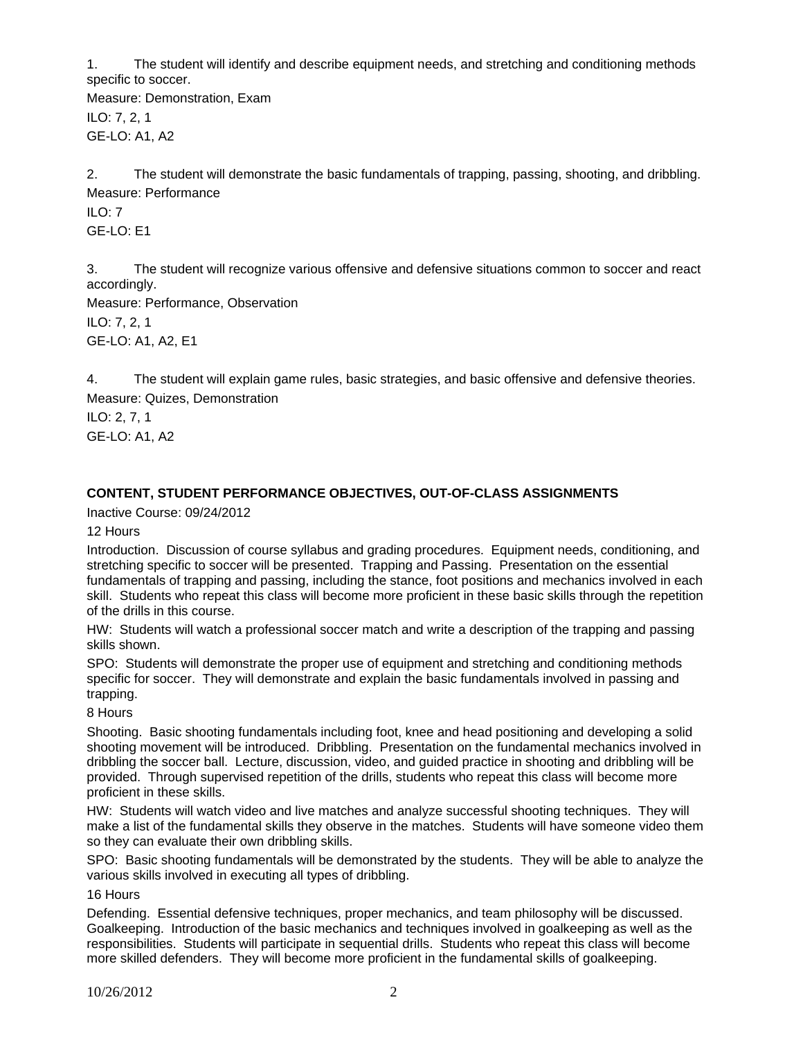1. The student will identify and describe equipment needs, and stretching and conditioning methods specific to soccer.

Measure: Demonstration, Exam ILO: 7, 2, 1 GE-LO: A1, A2

2. The student will demonstrate the basic fundamentals of trapping, passing, shooting, and dribbling. Measure: Performance

ILO: 7 GE-LO: E1

3. The student will recognize various offensive and defensive situations common to soccer and react accordingly.

Measure: Performance, Observation ILO: 7, 2, 1 GE-LO: A1, A2, E1

4. The student will explain game rules, basic strategies, and basic offensive and defensive theories. Measure: Quizes, Demonstration

ILO: 2, 7, 1 GE-LO: A1, A2

# **CONTENT, STUDENT PERFORMANCE OBJECTIVES, OUT-OF-CLASS ASSIGNMENTS**

Inactive Course: 09/24/2012

12 Hours

Introduction. Discussion of course syllabus and grading procedures. Equipment needs, conditioning, and stretching specific to soccer will be presented. Trapping and Passing. Presentation on the essential fundamentals of trapping and passing, including the stance, foot positions and mechanics involved in each skill. Students who repeat this class will become more proficient in these basic skills through the repetition of the drills in this course.

HW: Students will watch a professional soccer match and write a description of the trapping and passing skills shown.

SPO: Students will demonstrate the proper use of equipment and stretching and conditioning methods specific for soccer. They will demonstrate and explain the basic fundamentals involved in passing and trapping.

8 Hours

Shooting. Basic shooting fundamentals including foot, knee and head positioning and developing a solid shooting movement will be introduced. Dribbling. Presentation on the fundamental mechanics involved in dribbling the soccer ball. Lecture, discussion, video, and guided practice in shooting and dribbling will be provided. Through supervised repetition of the drills, students who repeat this class will become more proficient in these skills.

HW: Students will watch video and live matches and analyze successful shooting techniques. They will make a list of the fundamental skills they observe in the matches. Students will have someone video them so they can evaluate their own dribbling skills.

SPO: Basic shooting fundamentals will be demonstrated by the students. They will be able to analyze the various skills involved in executing all types of dribbling.

16 Hours

Defending. Essential defensive techniques, proper mechanics, and team philosophy will be discussed. Goalkeeping. Introduction of the basic mechanics and techniques involved in goalkeeping as well as the responsibilities. Students will participate in sequential drills. Students who repeat this class will become more skilled defenders. They will become more proficient in the fundamental skills of goalkeeping.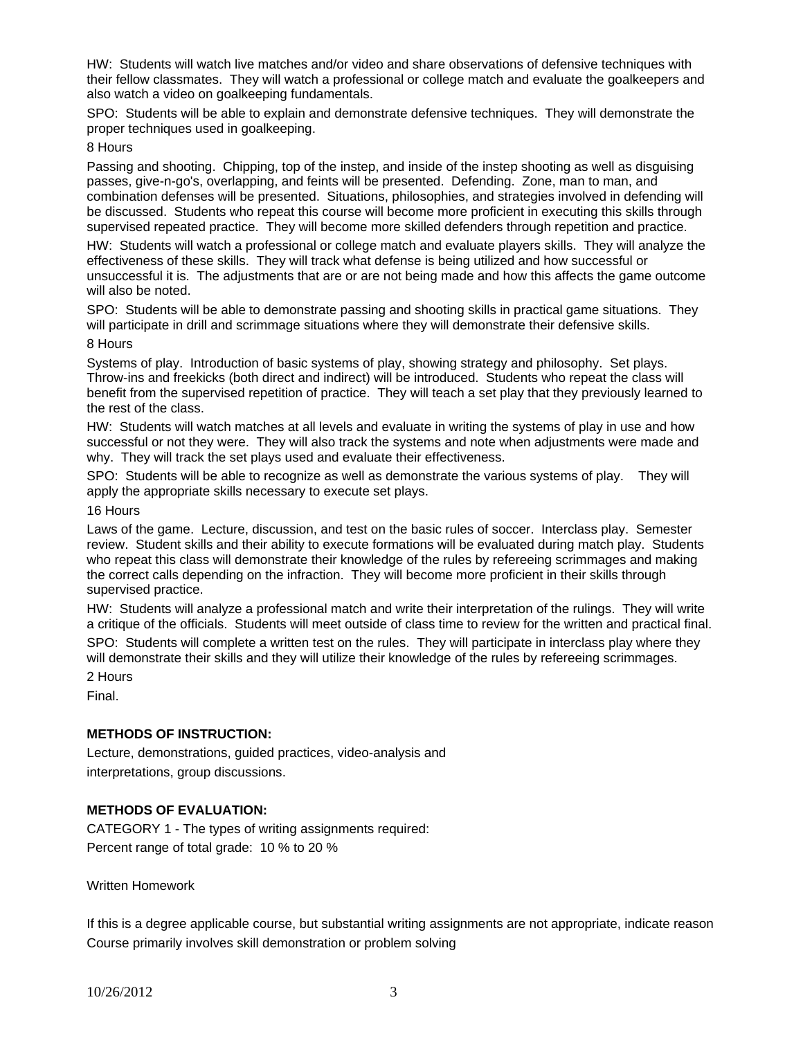HW: Students will watch live matches and/or video and share observations of defensive techniques with their fellow classmates. They will watch a professional or college match and evaluate the goalkeepers and also watch a video on goalkeeping fundamentals.

SPO: Students will be able to explain and demonstrate defensive techniques. They will demonstrate the proper techniques used in goalkeeping.

8 Hours

Passing and shooting. Chipping, top of the instep, and inside of the instep shooting as well as disguising passes, give-n-go's, overlapping, and feints will be presented. Defending. Zone, man to man, and combination defenses will be presented. Situations, philosophies, and strategies involved in defending will be discussed. Students who repeat this course will become more proficient in executing this skills through supervised repeated practice. They will become more skilled defenders through repetition and practice.

HW: Students will watch a professional or college match and evaluate players skills. They will analyze the effectiveness of these skills. They will track what defense is being utilized and how successful or unsuccessful it is. The adjustments that are or are not being made and how this affects the game outcome will also be noted.

SPO: Students will be able to demonstrate passing and shooting skills in practical game situations. They will participate in drill and scrimmage situations where they will demonstrate their defensive skills.

8 Hours

Systems of play. Introduction of basic systems of play, showing strategy and philosophy. Set plays. Throw-ins and freekicks (both direct and indirect) will be introduced. Students who repeat the class will benefit from the supervised repetition of practice. They will teach a set play that they previously learned to the rest of the class.

HW: Students will watch matches at all levels and evaluate in writing the systems of play in use and how successful or not they were. They will also track the systems and note when adjustments were made and why. They will track the set plays used and evaluate their effectiveness.

SPO: Students will be able to recognize as well as demonstrate the various systems of play. They will apply the appropriate skills necessary to execute set plays.

16 Hours

Laws of the game. Lecture, discussion, and test on the basic rules of soccer. Interclass play. Semester review. Student skills and their ability to execute formations will be evaluated during match play. Students who repeat this class will demonstrate their knowledge of the rules by refereeing scrimmages and making the correct calls depending on the infraction. They will become more proficient in their skills through supervised practice.

HW: Students will analyze a professional match and write their interpretation of the rulings. They will write a critique of the officials. Students will meet outside of class time to review for the written and practical final.

SPO: Students will complete a written test on the rules. They will participate in interclass play where they will demonstrate their skills and they will utilize their knowledge of the rules by refereeing scrimmages.

2 Hours

Final.

#### **METHODS OF INSTRUCTION:**

Lecture, demonstrations, guided practices, video-analysis and interpretations, group discussions.

#### **METHODS OF EVALUATION:**

CATEGORY 1 - The types of writing assignments required: Percent range of total grade: 10 % to 20 %

Written Homework

If this is a degree applicable course, but substantial writing assignments are not appropriate, indicate reason Course primarily involves skill demonstration or problem solving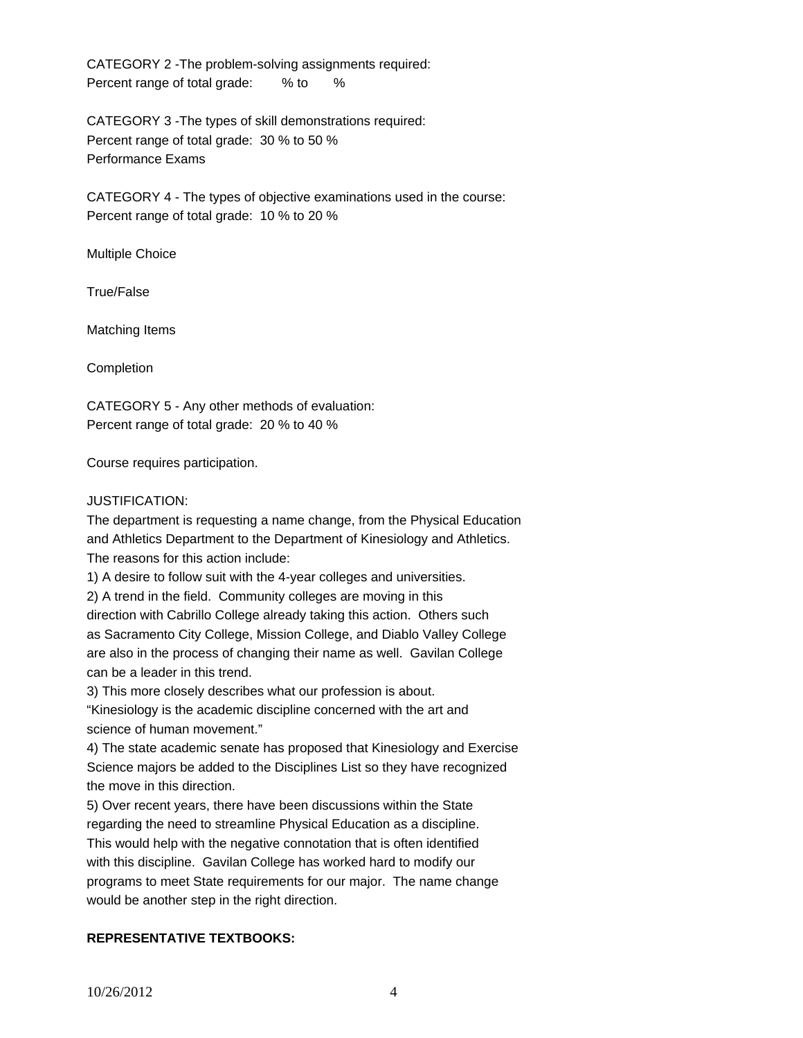CATEGORY 2 -The problem-solving assignments required: Percent range of total grade: % to %

CATEGORY 3 -The types of skill demonstrations required: Percent range of total grade: 30 % to 50 % Performance Exams

CATEGORY 4 - The types of objective examinations used in the course: Percent range of total grade: 10 % to 20 %

Multiple Choice

True/False

Matching Items

Completion

CATEGORY 5 - Any other methods of evaluation: Percent range of total grade: 20 % to 40 %

Course requires participation.

## JUSTIFICATION:

The department is requesting a name change, from the Physical Education and Athletics Department to the Department of Kinesiology and Athletics. The reasons for this action include:

1) A desire to follow suit with the 4-year colleges and universities.

2) A trend in the field. Community colleges are moving in this

direction with Cabrillo College already taking this action. Others such as Sacramento City College, Mission College, and Diablo Valley College are also in the process of changing their name as well. Gavilan College can be a leader in this trend.

3) This more closely describes what our profession is about.

"Kinesiology is the academic discipline concerned with the art and science of human movement."

4) The state academic senate has proposed that Kinesiology and Exercise Science majors be added to the Disciplines List so they have recognized the move in this direction.

5) Over recent years, there have been discussions within the State regarding the need to streamline Physical Education as a discipline.

This would help with the negative connotation that is often identified with this discipline. Gavilan College has worked hard to modify our programs to meet State requirements for our major. The name change would be another step in the right direction.

# **REPRESENTATIVE TEXTBOOKS:**